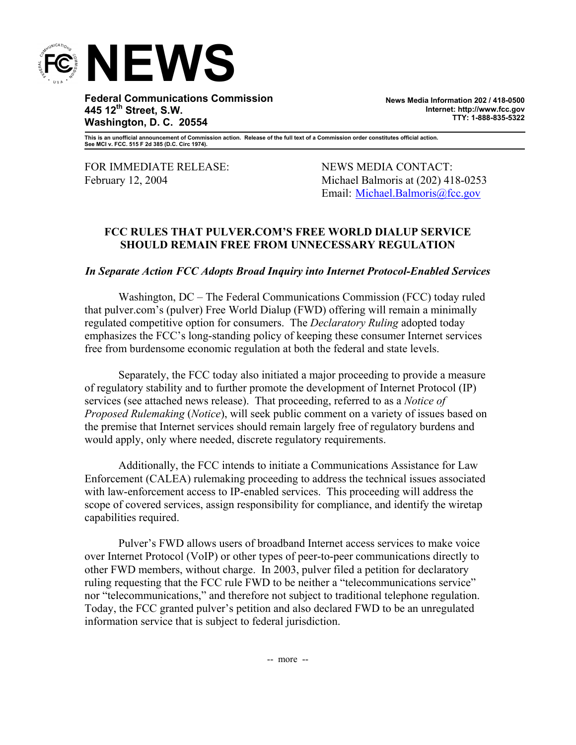

**Federal Communications Commission 445 12th Street, S.W. Washington, D. C. 20554** 

**News Media Information 202 / 418-0500 Internet: http://www.fcc.gov TTY: 1-888-835-5322**

**This is an unofficial announcement of Commission action. Release of the full text of a Commission order constitutes official action. See MCI v. FCC. 515 F 2d 385 (D.C. Circ 1974).** 

FOR IMMEDIATE RELEASE: NEWS MEDIA CONTACT:

February 12, 2004 Michael Balmoris at (202) 418-0253 Email: Michael.Balmoris@fcc.gov

## **FCC RULES THAT PULVER.COM'S FREE WORLD DIALUP SERVICE SHOULD REMAIN FREE FROM UNNECESSARY REGULATION**

## *In Separate Action FCC Adopts Broad Inquiry into Internet Protocol-Enabled Services*

 Washington, DC – The Federal Communications Commission (FCC) today ruled that pulver.com's (pulver) Free World Dialup (FWD) offering will remain a minimally regulated competitive option for consumers. The *Declaratory Ruling* adopted today emphasizes the FCC's long-standing policy of keeping these consumer Internet services free from burdensome economic regulation at both the federal and state levels.

Separately, the FCC today also initiated a major proceeding to provide a measure of regulatory stability and to further promote the development of Internet Protocol (IP) services (see attached news release). That proceeding, referred to as a *Notice of Proposed Rulemaking* (*Notice*), will seek public comment on a variety of issues based on the premise that Internet services should remain largely free of regulatory burdens and would apply, only where needed, discrete regulatory requirements.

Additionally, the FCC intends to initiate a Communications Assistance for Law Enforcement (CALEA) rulemaking proceeding to address the technical issues associated with law-enforcement access to IP-enabled services. This proceeding will address the scope of covered services, assign responsibility for compliance, and identify the wiretap capabilities required.

Pulver's FWD allows users of broadband Internet access services to make voice over Internet Protocol (VoIP) or other types of peer-to-peer communications directly to other FWD members, without charge. In 2003, pulver filed a petition for declaratory ruling requesting that the FCC rule FWD to be neither a "telecommunications service" nor "telecommunications," and therefore not subject to traditional telephone regulation. Today, the FCC granted pulver's petition and also declared FWD to be an unregulated information service that is subject to federal jurisdiction.